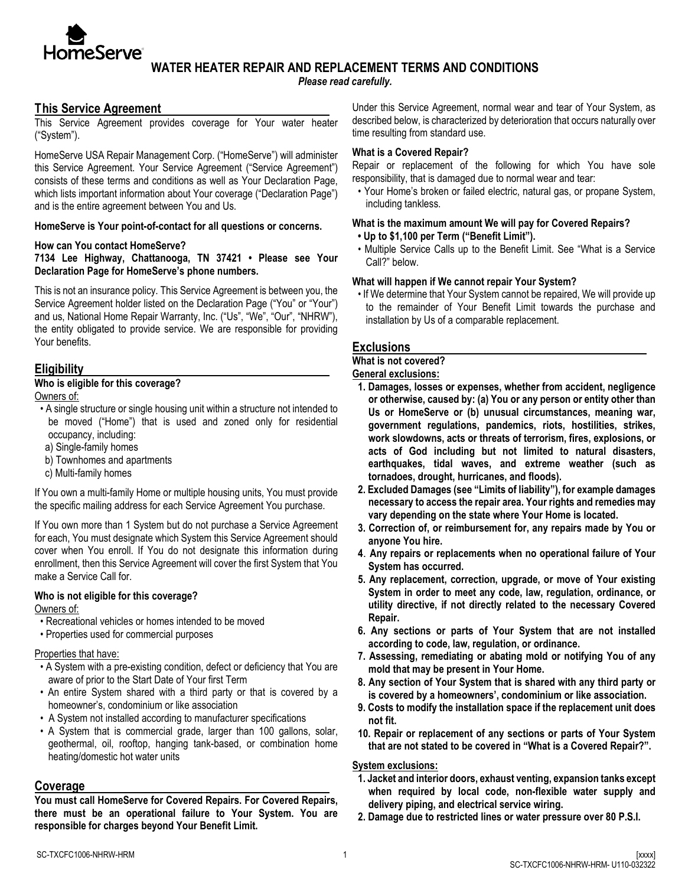

# **WATER HEATER REPAIR AND REPLACEMENT TERMS AND CONDITIONS**

*Please read carefully.*

# **This Service Agreement**

This Service Agreement provides coverage for Your water heater ("System").

HomeServe USA Repair Management Corp. ("HomeServe") will administer this Service Agreement. Your Service Agreement ("Service Agreement") consists of these terms and conditions as well as Your Declaration Page, which lists important information about Your coverage ("Declaration Page") and is the entire agreement between You and Us.

#### **HomeServe is Your point-of-contact for all questions or concerns.**

#### **How can You contact HomeServe?**

**7134 Lee Highway, Chattanooga, TN 37421 • Please see Your Declaration Page for HomeServe's phone numbers.** 

This is not an insurance policy. This Service Agreement is between you, the Service Agreement holder listed on the Declaration Page ("You" or "Your") and us, National Home Repair Warranty, Inc. ("Us", "We", "Our", "NHRW"), the entity obligated to provide service. We are responsible for providing Your benefits.

### **Eligibility**

### **Who is eligible for this coverage?**

Owners of:

- A single structure or single housing unit within a structure not intended to be moved ("Home") that is used and zoned only for residential occupancy, including:
- a) Single-family homes
- b) Townhomes and apartments
- c) Multi-family homes

If You own a multi-family Home or multiple housing units, You must provide the specific mailing address for each Service Agreement You purchase.

If You own more than 1 System but do not purchase a Service Agreement for each, You must designate which System this Service Agreement should cover when You enroll. If You do not designate this information during enrollment, then this Service Agreement will cover the first System that You make a Service Call for.

### **Who is not eligible for this coverage?**

Owners of:

- Recreational vehicles or homes intended to be moved
- Properties used for commercial purposes

### Properties that have:

- A System with a pre-existing condition, defect or deficiency that You are aware of prior to the Start Date of Your first Term
- An entire System shared with a third party or that is covered by a homeowner's, condominium or like association
- A System not installed according to manufacturer specifications
- A System that is commercial grade, larger than 100 gallons, solar, geothermal, oil, rooftop, hanging tank-based, or combination home heating/domestic hot water units

### **Coverage**

**You must call HomeServe for Covered Repairs. For Covered Repairs, there must be an operational failure to Your System. You are responsible for charges beyond Your Benefit Limit.** 

Under this Service Agreement, normal wear and tear of Your System, as described below, is characterized by deterioration that occurs naturally over time resulting from standard use.

### **What is a Covered Repair?**

Repair or replacement of the following for which You have sole responsibility, that is damaged due to normal wear and tear:

• Your Home's broken or failed electric, natural gas, or propane System, including tankless.

# **What is the maximum amount We will pay for Covered Repairs?**

- **• Up to \$1,100 per Term ("Benefit Limit").**
- Multiple Service Calls up to the Benefit Limit. See "What is a Service Call?" below.

### **What will happen if We cannot repair Your System?**

• If We determine that Your System cannot be repaired, We will provide up to the remainder of Your Benefit Limit towards the purchase and installation by Us of a comparable replacement.

### **Exclusions**

#### **What is not covered?**

#### **General exclusions:**

- **1. Damages, losses or expenses, whether from accident, negligence or otherwise, caused by: (a) You or any person or entity other than Us or HomeServe or (b) unusual circumstances, meaning war, government regulations, pandemics, riots, hostilities, strikes, work slowdowns, acts or threats of terrorism, fires, explosions, or acts of God including but not limited to natural disasters, earthquakes, tidal waves, and extreme weather (such as tornadoes, drought, hurricanes, and floods).**
- **2. Excluded Damages (see "Limits of liability"), for example damages necessary to access the repair area. Your rights and remedies may vary depending on the state where Your Home is located.**
- **3. Correction of, or reimbursement for, any repairs made by You or anyone You hire.**
- **4**. **Any repairs or replacements when no operational failure of Your System has occurred.**
- **5. Any replacement, correction, upgrade, or move of Your existing System in order to meet any code, law, regulation, ordinance, or utility directive, if not directly related to the necessary Covered Repair.**
- **6. Any sections or parts of Your System that are not installed according to code, law, regulation, or ordinance.**
- **7. Assessing, remediating or abating mold or notifying You of any mold that may be present in Your Home.**
- **8. Any section of Your System that is shared with any third party or is covered by a homeowners', condominium or like association.**
- **9. Costs to modify the installation space if the replacement unit does not fit.**
- **10. Repair or replacement of any sections or parts of Your System that are not stated to be covered in "What is a Covered Repair?".**

# **System exclusions:**

- **1. Jacket and interior doors, exhaust venting, expansion tanks except when required by local code, non-flexible water supply and delivery piping, and electrical service wiring.**
- **2. Damage due to restricted lines or water pressure over 80 P.S.I.**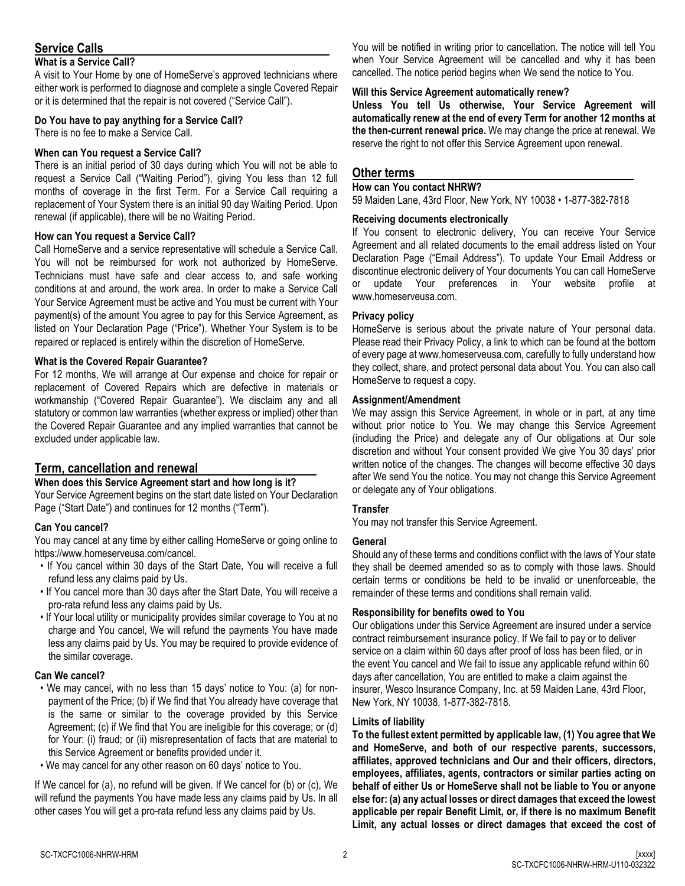# **Service Calls**

### **What is a Service Call?**

A visit to Your Home by one of HomeServe's approved technicians where either work is performed to diagnose and complete a single Covered Repair or it is determined that the repair is not covered ("Service Call").

### **Do You have to pay anything for a Service Call?**

There is no fee to make a Service Call.

### **When can You request a Service Call?**

There is an initial period of 30 days during which You will not be able to request a Service Call ("Waiting Period"), giving You less than 12 full months of coverage in the first Term. For a Service Call requiring a replacement of Your System there is an initial 90 day Waiting Period. Upon renewal (if applicable), there will be no Waiting Period.

### **How can You request a Service Call?**

Call HomeServe and a service representative will schedule a Service Call. You will not be reimbursed for work not authorized by HomeServe. Technicians must have safe and clear access to, and safe working conditions at and around, the work area. In order to make a Service Call Your Service Agreement must be active and You must be current with Your payment(s) of the amount You agree to pay for this Service Agreement, as listed on Your Declaration Page ("Price"). Whether Your System is to be repaired or replaced is entirely within the discretion of HomeServe.

### **What is the Covered Repair Guarantee?**

For 12 months, We will arrange at Our expense and choice for repair or replacement of Covered Repairs which are defective in materials or workmanship ("Covered Repair Guarantee"). We disclaim any and all statutory or common law warranties (whether express or implied) other than the Covered Repair Guarantee and any implied warranties that cannot be excluded under applicable law.

# **Term, cancellation and renewal**

### **When does this Service Agreement start and how long is it?**

Your Service Agreement begins on the start date listed on Your Declaration Page ("Start Date") and continues for 12 months ("Term").

### **Can You cancel?**

You may cancel at any time by either calling HomeServe or going online to https://www.homeserveusa.com/cancel.

- If You cancel within 30 days of the Start Date, You will receive a full refund less any claims paid by Us.
- If You cancel more than 30 days after the Start Date, You will receive a pro-rata refund less any claims paid by Us.
- If Your local utility or municipality provides similar coverage to You at no charge and You cancel, We will refund the payments You have made less any claims paid by Us. You may be required to provide evidence of the similar coverage.

### **Can We cancel?**

- We may cancel, with no less than 15 days' notice to You: (a) for nonpayment of the Price; (b) if We find that You already have coverage that is the same or similar to the coverage provided by this Service Agreement; (c) if We find that You are ineligible for this coverage; or (d) for Your: (i) fraud; or (ii) misrepresentation of facts that are material to this Service Agreement or benefits provided under it.
- We may cancel for any other reason on 60 days' notice to You.

If We cancel for (a), no refund will be given. If We cancel for (b) or (c), We will refund the payments You have made less any claims paid by Us. In all other cases You will get a pro-rata refund less any claims paid by Us.

You will be notified in writing prior to cancellation. The notice will tell You when Your Service Agreement will be cancelled and why it has been cancelled. The notice period begins when We send the notice to You.

### **Will this Service Agreement automatically renew?**

**Unless You tell Us otherwise, Your Service Agreement will automatically renew at the end of every Term for another 12 months at the then-current renewal price.** We may change the price at renewal. We reserve the right to not offer this Service Agreement upon renewal.

# **Other terms**

#### **How can You contact NHRW?**

59 Maiden Lane, 43rd Floor, New York, NY 10038 • 1-877-382-7818

### **Receiving documents electronically**

If You consent to electronic delivery, You can receive Your Service Agreement and all related documents to the email address listed on Your Declaration Page ("Email Address"). To update Your Email Address or discontinue electronic delivery of Your documents You can call HomeServe or update Your preferences in Your website profile at www.homeserveusa.com.

### **Privacy policy**

HomeServe is serious about the private nature of Your personal data. Please read their Privacy Policy, a link to which can be found at the bottom of every page at www.homeserveusa.com, carefully to fully understand how they collect, share, and protect personal data about You. You can also call HomeServe to request a copy.

#### **Assignment/Amendment**

We may assign this Service Agreement, in whole or in part, at any time without prior notice to You. We may change this Service Agreement (including the Price) and delegate any of Our obligations at Our sole discretion and without Your consent provided We give You 30 days' prior written notice of the changes. The changes will become effective 30 days after We send You the notice. You may not change this Service Agreement or delegate any of Your obligations.

### **Transfer**

You may not transfer this Service Agreement.

### **General**

Should any of these terms and conditions conflict with the laws of Your state they shall be deemed amended so as to comply with those laws. Should certain terms or conditions be held to be invalid or unenforceable, the remainder of these terms and conditions shall remain valid.

### **Responsibility for benefits owed to You**

Our obligations under this Service Agreement are insured under a service contract reimbursement insurance policy. If We fail to pay or to deliver service on a claim within 60 days after proof of loss has been filed, or in the event You cancel and We fail to issue any applicable refund within 60 days after cancellation, You are entitled to make a claim against the insurer, Wesco Insurance Company, Inc. at 59 Maiden Lane, 43rd Floor, New York, NY 10038, 1-877-382-7818.

### **Limits of liability**

**To the fullest extent permitted by applicable law, (1) You agree that We and HomeServe, and both of our respective parents, successors, affiliates, approved technicians and Our and their officers, directors, employees, affiliates, agents, contractors or similar parties acting on behalf of either Us or HomeServe shall not be liable to You or anyone else for: (a) any actual losses or direct damages that exceed the lowest applicable per repair Benefit Limit, or, if there is no maximum Benefit Limit, any actual losses or direct damages that exceed the cost of**